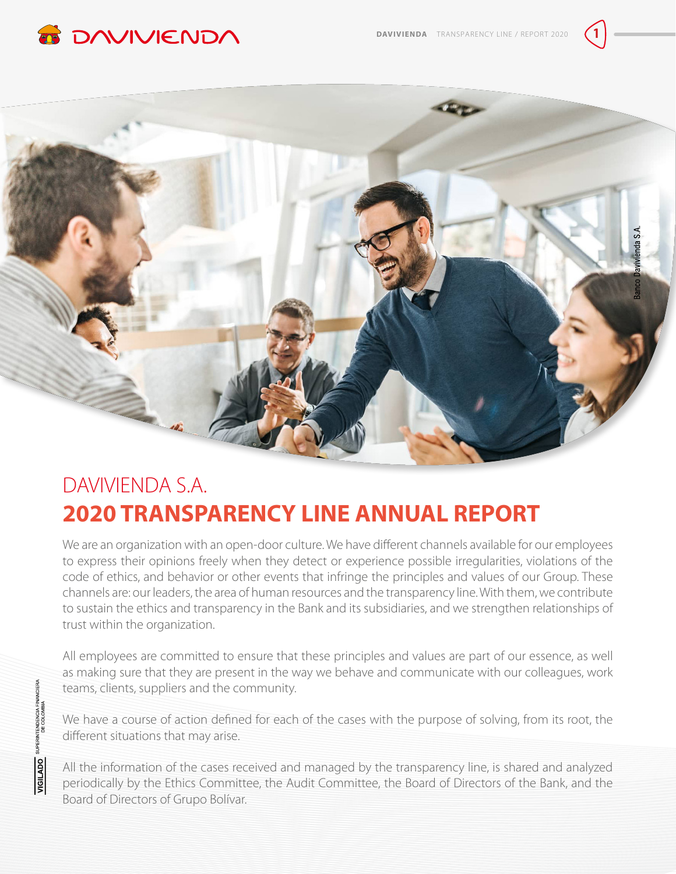



# DAVIVIENDA S.A. **2020 TRANSPARENCY LINE ANNUAL REPORT**

We are an organization with an open-door culture. We have different channels available for our employees to express their opinions freely when they detect or experience possible irregularities, violations of the code of ethics, and behavior or other events that infringe the principles and values of our Group. These channels are: our leaders, the area of human resources and the transparency line. With them, we contribute to sustain the ethics and transparency in the Bank and its subsidiaries, and we strengthen relationships of trust within the organization.

All employees are committed to ensure that these principles and values are part of our essence, as well as making sure that they are present in the way we behave and communicate with our colleagues, work teams, clients, suppliers and the community.

We have a course of action defined for each of the cases with the purpose of solving, from its root, the different situations that may arise.

All the information of the cases received and managed by the transparency line, is shared and analyzed periodically by the Ethics Committee, the Audit Committee, the Board of Directors of the Bank, and the Board of Directors of Grupo Bolívar.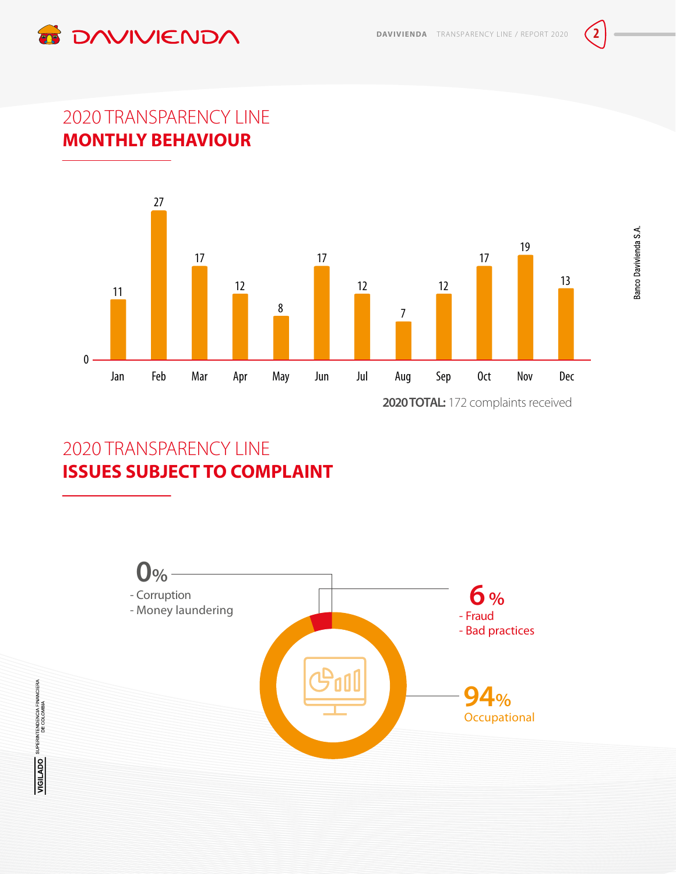



### 2020 TRANSPARENCY LINE **MONTHLY BEHAVIOUR**



2020 TRANSPARENCY LINE **ISSUES SUBJECT TO COMPLAINT**

**VIGILADO** SUPERINTENDENCIA FINANCIERA

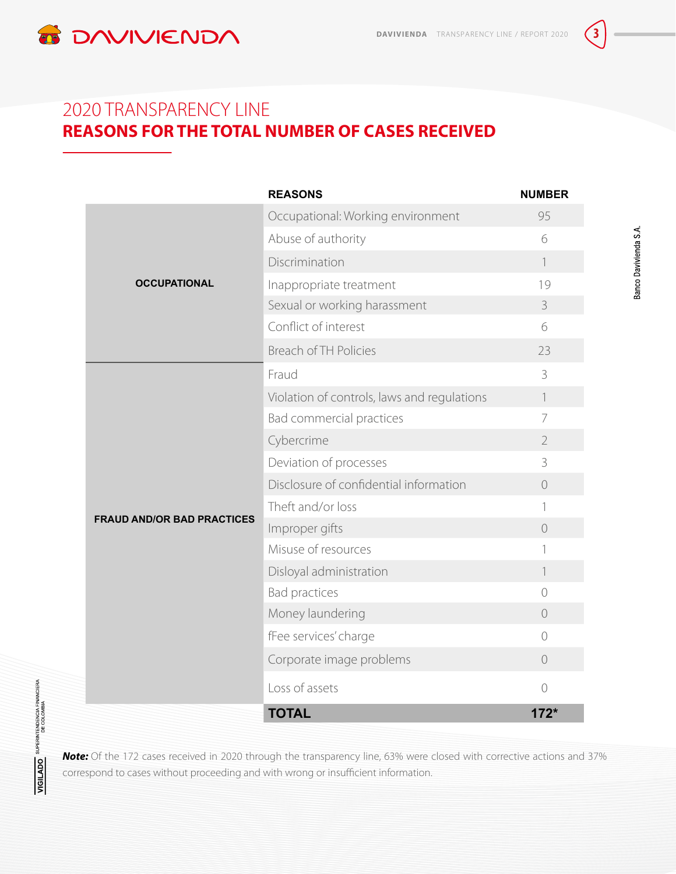

### 2020 TRANSPARENCY LINE **REASONS FOR THE TOTAL NUMBER OF CASES RECEIVED**

|                                   | <b>REASONS</b>                              | <b>NUMBER</b>    |
|-----------------------------------|---------------------------------------------|------------------|
| <b>OCCUPATIONAL</b>               | Occupational: Working environment           | 95               |
|                                   | Abuse of authority                          | 6                |
|                                   | Discrimination                              | $\overline{1}$   |
|                                   | Inappropriate treatment                     | 19               |
|                                   | Sexual or working harassment                | $\mathcal{S}$    |
|                                   | Conflict of interest                        | 6                |
|                                   | <b>Breach of TH Policies</b>                | 23               |
| <b>FRAUD AND/OR BAD PRACTICES</b> | Fraud                                       | 3                |
|                                   | Violation of controls, laws and regulations | $\left  \right $ |
|                                   | Bad commercial practices                    | 7                |
|                                   | Cybercrime                                  | $\overline{2}$   |
|                                   | Deviation of processes                      | 3                |
|                                   | Disclosure of confidential information      | $\bigcirc$       |
|                                   | Theft and/or loss                           | 1                |
|                                   | Improper gifts                              | $\bigcirc$       |
|                                   | Misuse of resources                         | 1                |
|                                   | Disloyal administration                     | 1                |
|                                   | <b>Bad practices</b>                        | $\bigcirc$       |
|                                   | Money laundering                            | $\overline{O}$   |
|                                   | fFee services' charge                       | $\bigcirc$       |
|                                   | Corporate image problems                    | $\overline{0}$   |
|                                   | Loss of assets                              | $\bigcirc$       |
|                                   | <b>TOTAL</b>                                | $172*$           |

*Note:* Of the 172 cases received in 2020 through the transparency line, 63% were closed with corrective actions and 37% correspond to cases without proceeding and with wrong or insufficient information.